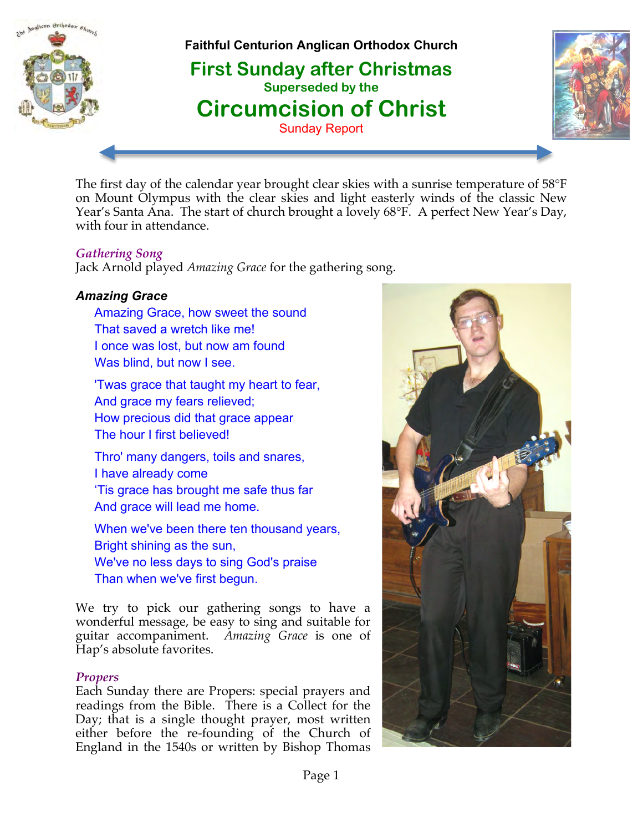

**Faithful Centurion Anglican Orthodox Church**

 **First Sunday after Christmas Superseded by the Circumcision of Christ** Sunday Report



The first day of the calendar year brought clear skies with a sunrise temperature of 58°F on Mount Olympus with the clear skies and light easterly winds of the classic New Year's Santa Ana. The start of church brought a lovely 68°F. A perfect New Year's Day, with four in attendance.

## *Gathering Song*

Jack Arnold played *Amazing Grace* for the gathering song.

## *Amazing Grace*

Amazing Grace, how sweet the sound That saved a wretch like me! I once was lost, but now am found Was blind, but now I see.

'Twas grace that taught my heart to fear, And grace my fears relieved; How precious did that grace appear The hour I first believed!

Thro' many dangers, toils and snares, I have already come 'Tis grace has brought me safe thus far And grace will lead me home.

When we've been there ten thousand years, Bright shining as the sun, We've no less days to sing God's praise Than when we've first begun.

We try to pick our gathering songs to have a wonderful message, be easy to sing and suitable for guitar accompaniment. *Amazing Grace* is one of Hap's absolute favorites.

#### *Propers*

Each Sunday there are Propers: special prayers and readings from the Bible. There is a Collect for the Day; that is a single thought prayer, most written either before the re-founding of the Church of England in the 1540s or written by Bishop Thomas

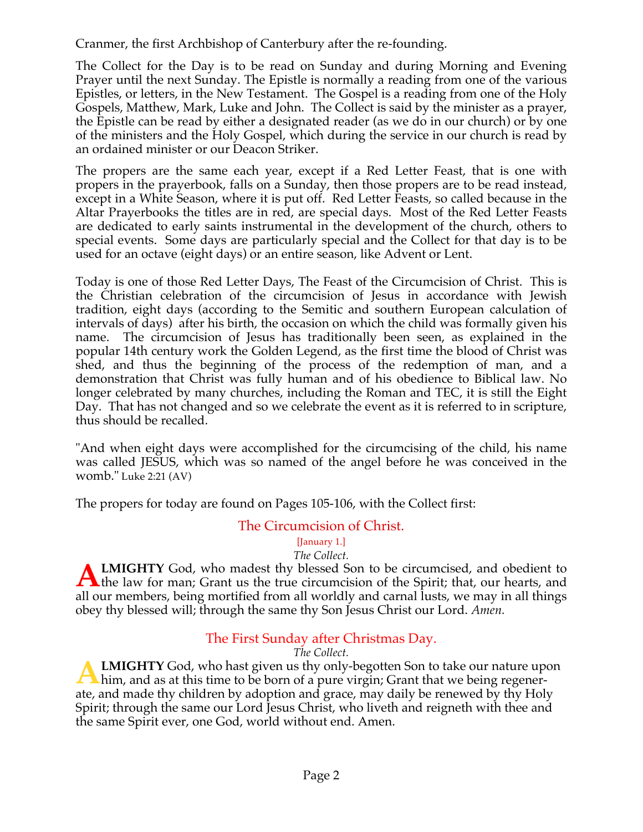Cranmer, the first Archbishop of Canterbury after the re-founding.

The Collect for the Day is to be read on Sunday and during Morning and Evening Prayer until the next Sunday. The Epistle is normally a reading from one of the various Epistles, or letters, in the New Testament. The Gospel is a reading from one of the Holy Gospels, Matthew, Mark, Luke and John. The Collect is said by the minister as a prayer, the Epistle can be read by either a designated reader (as we do in our church) or by one of the ministers and the Holy Gospel, which during the service in our church is read by an ordained minister or our Deacon Striker.

The propers are the same each year, except if a Red Letter Feast, that is one with propers in the prayerbook, falls on a Sunday, then those propers are to be read instead, except in a White Season, where it is put off. Red Letter Feasts, so called because in the Altar Prayerbooks the titles are in red, are special days. Most of the Red Letter Feasts are dedicated to early saints instrumental in the development of the church, others to special events. Some days are particularly special and the Collect for that day is to be used for an octave (eight days) or an entire season, like Advent or Lent.

Today is one of those Red Letter Days, The Feast of the Circumcision of Christ. This is the Christian celebration of the circumcision of Jesus in accordance with Jewish tradition, eight days (according to the Semitic and southern European calculation of intervals of days) after his birth, the occasion on which the child was formally given his name. The circumcision of Jesus has traditionally been seen, as explained in the popular 14th century work the Golden Legend, as the first time the blood of Christ was shed, and thus the beginning of the process of the redemption of man, and a demonstration that Christ was fully human and of his obedience to Biblical law. No longer celebrated by many churches, including the Roman and TEC, it is still the Eight Day. That has not changed and so we celebrate the event as it is referred to in scripture, thus should be recalled.

"And when eight days were accomplished for the circumcising of the child, his name was called JESUS, which was so named of the angel before he was conceived in the womb." Luke 2:21 (AV)

The propers for today are found on Pages 105-106, with the Collect first:

## The Circumcision of Christ.

#### [January 1.]

#### *The Collect.*

**LMIGHTY** God, who madest thy blessed Son to be circumcised, and obedient to **ALMIGHTY** God, who madest thy blessed Son to be circumcised, and obedient to the law for man; Grant us the true circumcision of the Spirit; that, our hearts, and  $\mathbf{A}$ all our members, being mortified from all worldly and carnal lusts, we may in all things obey thy blessed will; through the same thy Son Jesus Christ our Lord. *Amen.*

## The First Sunday after Christmas Day.

*The Collect.*

**LMIGHTY** God, who hast given us thy only-begotten Son to take our nature upon **A LMIGHTY** God, who hast given us thy only-begotten Son to take our nature up him, and as at this time to be born of a pure virgin; Grant that we being regenerate, and made thy children by adoption and grace, may daily be renewed by thy Holy Spirit; through the same our Lord Jesus Christ, who liveth and reigneth with thee and the same Spirit ever, one God, world without end. Amen.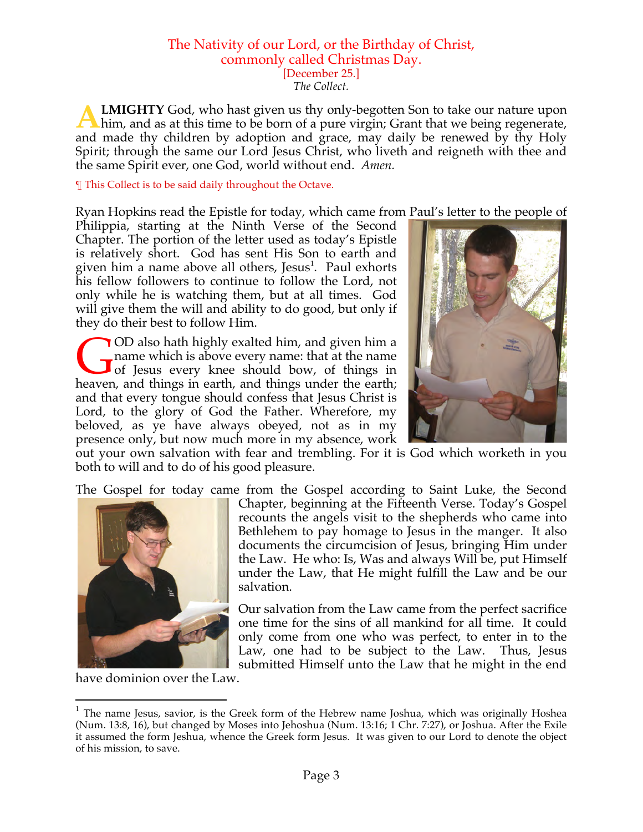## The Nativity of our Lord, or the Birthday of Christ, commonly called Christmas Day. [December 25.]

*The Collect.*

**LMIGHTY** God, who hast given us thy only-begotten Son to take our nature upon him, and as at this time to be born of a pure virgin; Grant that we being regenerate, and made thy children by adoption and grace, may daily be renewed by thy Holy Spirit; through the same our Lord Jesus Christ, who liveth and reigneth with thee and the same Spirit ever, one God, world without end. *Amen.* **A**

¶ This Collect is to be said daily throughout the Octave.

Ryan Hopkins read the Epistle for today, which came from Paul's letter to the people of

Philippia, starting at the Ninth Verse of the Second Chapter. The portion of the letter used as today's Epistle is relatively short. God has sent His Son to earth and given him a name above all others, Jesus<sup>1</sup>. Paul exhorts his fellow followers to continue to follow the Lord, not only while he is watching them, but at all times. God will give them the will and ability to do good, but only if they do their best to follow Him.

OD also hath highly exalted him, and given him a name which is above every name: that at the name of Jesus every knee should bow, of things in OD also hath highly exalted him, and given him a name which is above every name: that at the name of Jesus every knee should bow, of things in heaven, and things in earth, and things under the earth; and that every tongue should confess that Jesus Christ is Lord, to the glory of God the Father. Wherefore, my beloved, as ye have always obeyed, not as in my presence only, but now much more in my absence, work



out your own salvation with fear and trembling. For it is God which worketh in you both to will and to do of his good pleasure.

The Gospel for today came from the Gospel according to Saint Luke, the Second



Chapter, beginning at the Fifteenth Verse. Today's Gospel recounts the angels visit to the shepherds who came into Bethlehem to pay homage to Jesus in the manger. It also documents the circumcision of Jesus, bringing Him under the Law. He who: Is, Was and always Will be, put Himself under the Law, that He might fulfill the Law and be our salvation.

Our salvation from the Law came from the perfect sacrifice one time for the sins of all mankind for all time. It could only come from one who was perfect, to enter in to the Law, one had to be subject to the Law. Thus, Jesus submitted Himself unto the Law that he might in the end

have dominion over the Law.

 $1$  The name Jesus, savior, is the Greek form of the Hebrew name Joshua, which was originally Hoshea (Num. 13:8, 16), but changed by Moses into Jehoshua (Num. 13:16; 1 Chr. 7:27), or Joshua. After the Exile it assumed the form Jeshua, whence the Greek form Jesus. It was given to our Lord to denote the object of his mission, to save.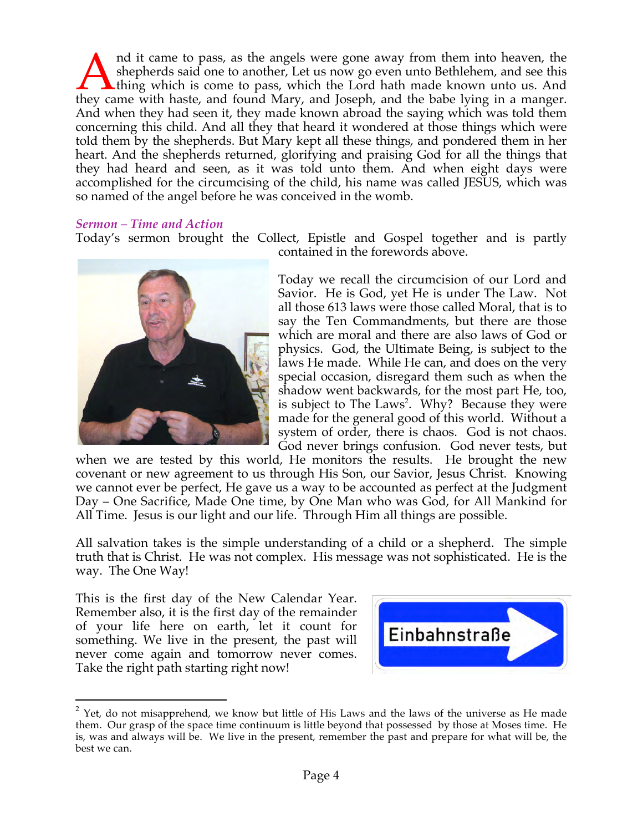nd it came to pass, as the angels were gone away from them into heaven, the shepherds said one to another, Let us now go even unto Bethlehem, and see this thing which is come to pass, which the Lord hath made known unto us. And Ind it came to pass, as the angels were gone away from them into heaven, the shepherds said one to another, Let us now go even unto Bethlehem, and see this thing which is come to pass, which the Lord hath made known unto u And when they had seen it, they made known abroad the saying which was told them concerning this child. And all they that heard it wondered at those things which were told them by the shepherds. But Mary kept all these things, and pondered them in her heart. And the shepherds returned, glorifying and praising God for all the things that they had heard and seen, as it was told unto them. And when eight days were accomplished for the circumcising of the child, his name was called JESUS, which was so named of the angel before he was conceived in the womb.

#### *Sermon – Time and Action*

Today's sermon brought the Collect, Epistle and Gospel together and is partly contained in the forewords above.



Today we recall the circumcision of our Lord and Savior. He is God, yet He is under The Law. Not all those 613 laws were those called Moral, that is to say the Ten Commandments, but there are those which are moral and there are also laws of God or physics. God, the Ultimate Being, is subject to the laws He made. While He can, and does on the very special occasion, disregard them such as when the shadow went backwards, for the most part He, too, is subject to The Laws<sup>2</sup>. Why? Because they were made for the general good of this world. Without a system of order, there is chaos. God is not chaos. God never brings confusion. God never tests, but

when we are tested by this world, He monitors the results. He brought the new covenant or new agreement to us through His Son, our Savior, Jesus Christ. Knowing we cannot ever be perfect, He gave us a way to be accounted as perfect at the Judgment Day – One Sacrifice, Made One time, by One Man who was God, for All Mankind for All Time. Jesus is our light and our life. Through Him all things are possible.

All salvation takes is the simple understanding of a child or a shepherd. The simple truth that is Christ. He was not complex. His message was not sophisticated. He is the way. The One Way!

This is the first day of the New Calendar Year. Remember also, it is the first day of the remainder of your life here on earth, let it count for something. We live in the present, the past will never come again and tomorrow never comes. Take the right path starting right now!



 $2$  Yet, do not misapprehend, we know but little of His Laws and the laws of the universe as He made them. Our grasp of the space time continuum is little beyond that possessed by those at Moses time. He is, was and always will be. We live in the present, remember the past and prepare for what will be, the best we can.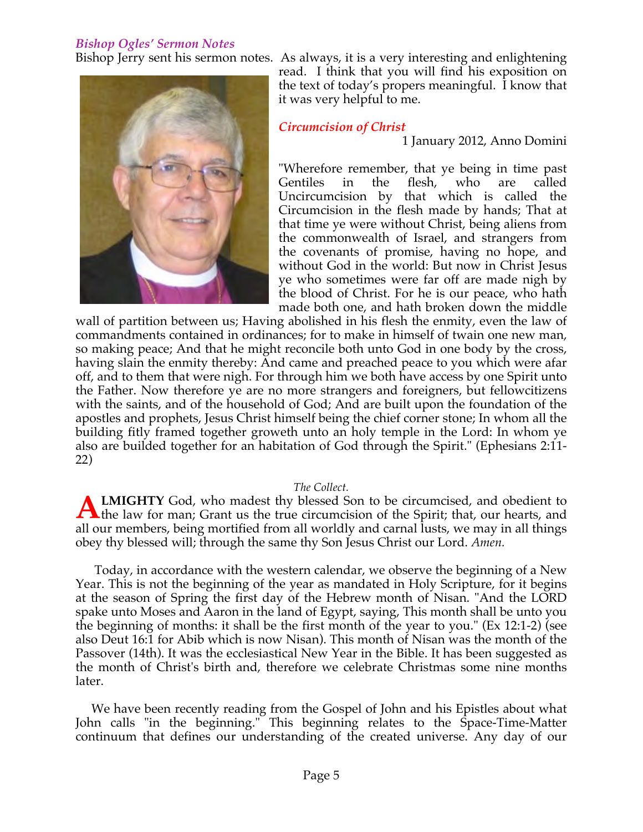#### *Bishop Ogles' Sermon Notes*



Bishop Jerry sent his sermon notes. As always, it is a very interesting and enlightening read. I think that you will find his exposition on the text of today's propers meaningful. I know that it was very helpful to me.

## *Circumcision of Christ*

1 January 2012, Anno Domini

"Wherefore remember, that ye being in time past Gentiles in the flesh, who are called Uncircumcision by that which is called the Circumcision in the flesh made by hands; That at that time ye were without Christ, being aliens from the commonwealth of Israel, and strangers from the covenants of promise, having no hope, and without God in the world: But now in Christ Jesus ye who sometimes were far off are made nigh by the blood of Christ. For he is our peace, who hath made both one, and hath broken down the middle

wall of partition between us; Having abolished in his flesh the enmity, even the law of commandments contained in ordinances; for to make in himself of twain one new man, so making peace; And that he might reconcile both unto God in one body by the cross, having slain the enmity thereby: And came and preached peace to you which were afar off, and to them that were nigh. For through him we both have access by one Spirit unto the Father. Now therefore ye are no more strangers and foreigners, but fellowcitizens with the saints, and of the household of God; And are built upon the foundation of the apostles and prophets, Jesus Christ himself being the chief corner stone; In whom all the building fitly framed together groweth unto an holy temple in the Lord: In whom ye also are builded together for an habitation of God through the Spirit." (Ephesians 2:11- 22)

#### *The Collect.*

**LMIGHTY** God, who madest thy blessed Son to be circumcised, and obedient to **ALMIGHTY** God, who madest thy blessed Son to be circumcised, and obedient to the law for man; Grant us the true circumcision of the Spirit; that, our hearts, and all our members, being mortified from all worldly and carnal lusts, we may in all things obey thy blessed will; through the same thy Son Jesus Christ our Lord. *Amen.*

 Today, in accordance with the western calendar, we observe the beginning of a New Year. This is not the beginning of the year as mandated in Holy Scripture, for it begins at the season of Spring the first day of the Hebrew month of Nisan. "And the LORD spake unto Moses and Aaron in the land of Egypt, saying, This month shall be unto you the beginning of months: it shall be the first month of the year to you." (Ex 12:1-2) (see also Deut 16:1 for Abib which is now Nisan). This month of Nisan was the month of the Passover (14th). It was the ecclesiastical New Year in the Bible. It has been suggested as the month of Christ's birth and, therefore we celebrate Christmas some nine months later.

 We have been recently reading from the Gospel of John and his Epistles about what John calls "in the beginning." This beginning relates to the Space-Time-Matter continuum that defines our understanding of the created universe. Any day of our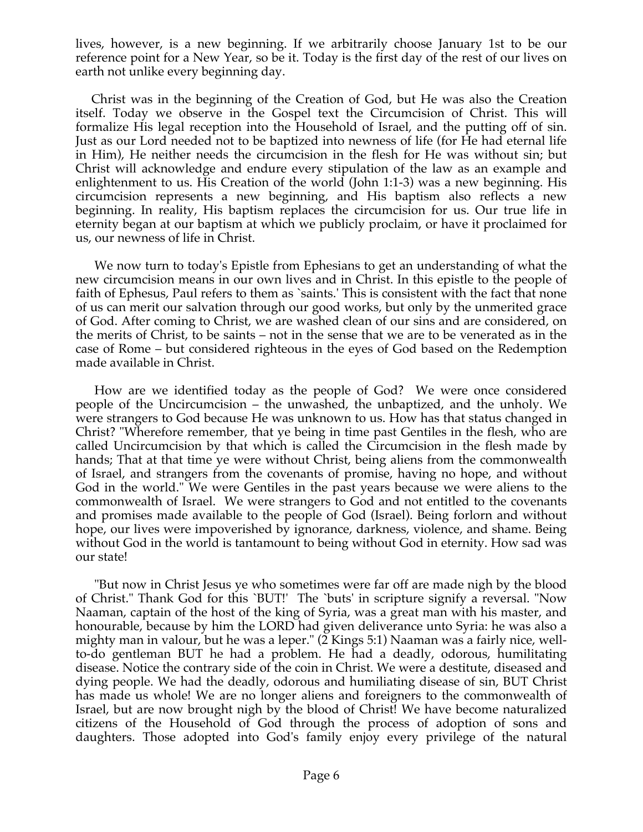lives, however, is a new beginning. If we arbitrarily choose January 1st to be our reference point for a New Year, so be it. Today is the first day of the rest of our lives on earth not unlike every beginning day.

 Christ was in the beginning of the Creation of God, but He was also the Creation itself. Today we observe in the Gospel text the Circumcision of Christ. This will formalize His legal reception into the Household of Israel, and the putting off of sin. Just as our Lord needed not to be baptized into newness of life (for He had eternal life in Him), He neither needs the circumcision in the flesh for He was without sin; but Christ will acknowledge and endure every stipulation of the law as an example and enlightenment to us. His Creation of the world (John 1:1-3) was a new beginning. His circumcision represents a new beginning, and His baptism also reflects a new beginning. In reality, His baptism replaces the circumcision for us. Our true life in eternity began at our baptism at which we publicly proclaim, or have it proclaimed for us, our newness of life in Christ.

 We now turn to today's Epistle from Ephesians to get an understanding of what the new circumcision means in our own lives and in Christ. In this epistle to the people of faith of Ephesus, Paul refers to them as `saints.' This is consistent with the fact that none of us can merit our salvation through our good works, but only by the unmerited grace of God. After coming to Christ, we are washed clean of our sins and are considered, on the merits of Christ, to be saints – not in the sense that we are to be venerated as in the case of Rome – but considered righteous in the eyes of God based on the Redemption made available in Christ.

 How are we identified today as the people of God? We were once considered people of the Uncircumcision – the unwashed, the unbaptized, and the unholy. We were strangers to God because He was unknown to us. How has that status changed in Christ? "Wherefore remember, that ye being in time past Gentiles in the flesh, who are called Uncircumcision by that which is called the Circumcision in the flesh made by hands; That at that time ye were without Christ, being aliens from the commonwealth of Israel, and strangers from the covenants of promise, having no hope, and without God in the world." We were Gentiles in the past years because we were aliens to the commonwealth of Israel. We were strangers to God and not entitled to the covenants and promises made available to the people of God (Israel). Being forlorn and without hope, our lives were impoverished by ignorance, darkness, violence, and shame. Being without God in the world is tantamount to being without God in eternity. How sad was our state!

 "But now in Christ Jesus ye who sometimes were far off are made nigh by the blood of Christ." Thank God for this `BUT!' The `buts' in scripture signify a reversal. "Now Naaman, captain of the host of the king of Syria, was a great man with his master, and honourable, because by him the LORD had given deliverance unto Syria: he was also a mighty man in valour, but he was a leper." (2 Kings 5:1) Naaman was a fairly nice, wellto-do gentleman BUT he had a problem. He had a deadly, odorous, humilitating disease. Notice the contrary side of the coin in Christ. We were a destitute, diseased and dying people. We had the deadly, odorous and humiliating disease of sin, BUT Christ has made us whole! We are no longer aliens and foreigners to the commonwealth of Israel, but are now brought nigh by the blood of Christ! We have become naturalized citizens of the Household of God through the process of adoption of sons and daughters. Those adopted into God's family enjoy every privilege of the natural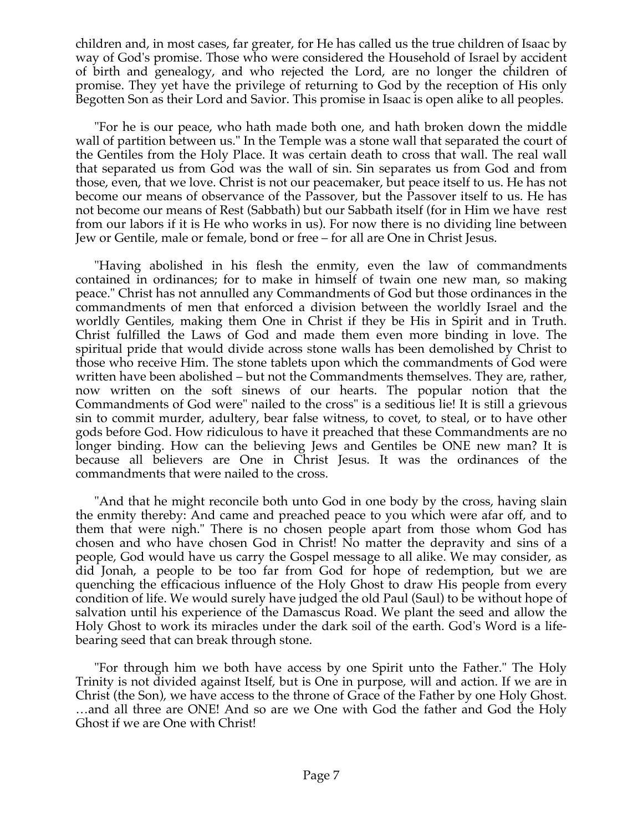children and, in most cases, far greater, for He has called us the true children of Isaac by way of God's promise. Those who were considered the Household of Israel by accident of birth and genealogy, and who rejected the Lord, are no longer the children of promise. They yet have the privilege of returning to God by the reception of His only Begotten Son as their Lord and Savior. This promise in Isaac is open alike to all peoples.

 "For he is our peace, who hath made both one, and hath broken down the middle wall of partition between us." In the Temple was a stone wall that separated the court of the Gentiles from the Holy Place. It was certain death to cross that wall. The real wall that separated us from God was the wall of sin. Sin separates us from God and from those, even, that we love. Christ is not our peacemaker, but peace itself to us. He has not become our means of observance of the Passover, but the Passover itself to us. He has not become our means of Rest (Sabbath) but our Sabbath itself (for in Him we have rest from our labors if it is He who works in us). For now there is no dividing line between Jew or Gentile, male or female, bond or free – for all are One in Christ Jesus.

 "Having abolished in his flesh the enmity, even the law of commandments contained in ordinances; for to make in himself of twain one new man, so making peace." Christ has not annulled any Commandments of God but those ordinances in the commandments of men that enforced a division between the worldly Israel and the worldly Gentiles, making them One in Christ if they be His in Spirit and in Truth. Christ fulfilled the Laws of God and made them even more binding in love. The spiritual pride that would divide across stone walls has been demolished by Christ to those who receive Him. The stone tablets upon which the commandments of God were written have been abolished – but not the Commandments themselves. They are, rather, now written on the soft sinews of our hearts. The popular notion that the Commandments of God were" nailed to the cross" is a seditious lie! It is still a grievous sin to commit murder, adultery, bear false witness, to covet, to steal, or to have other gods before God. How ridiculous to have it preached that these Commandments are no longer binding. How can the believing Jews and Gentiles be ONE new man? It is because all believers are One in Christ Jesus. It was the ordinances of the commandments that were nailed to the cross.

 "And that he might reconcile both unto God in one body by the cross, having slain the enmity thereby: And came and preached peace to you which were afar off, and to them that were nigh." There is no chosen people apart from those whom God has chosen and who have chosen God in Christ! No matter the depravity and sins of a people, God would have us carry the Gospel message to all alike. We may consider, as did Jonah, a people to be too far from God for hope of redemption, but we are quenching the efficacious influence of the Holy Ghost to draw His people from every condition of life. We would surely have judged the old Paul (Saul) to be without hope of salvation until his experience of the Damascus Road. We plant the seed and allow the Holy Ghost to work its miracles under the dark soil of the earth. God's Word is a lifebearing seed that can break through stone.

 "For through him we both have access by one Spirit unto the Father." The Holy Trinity is not divided against Itself, but is One in purpose, will and action. If we are in Christ (the Son), we have access to the throne of Grace of the Father by one Holy Ghost. …and all three are ONE! And so are we One with God the father and God the Holy Ghost if we are One with Christ!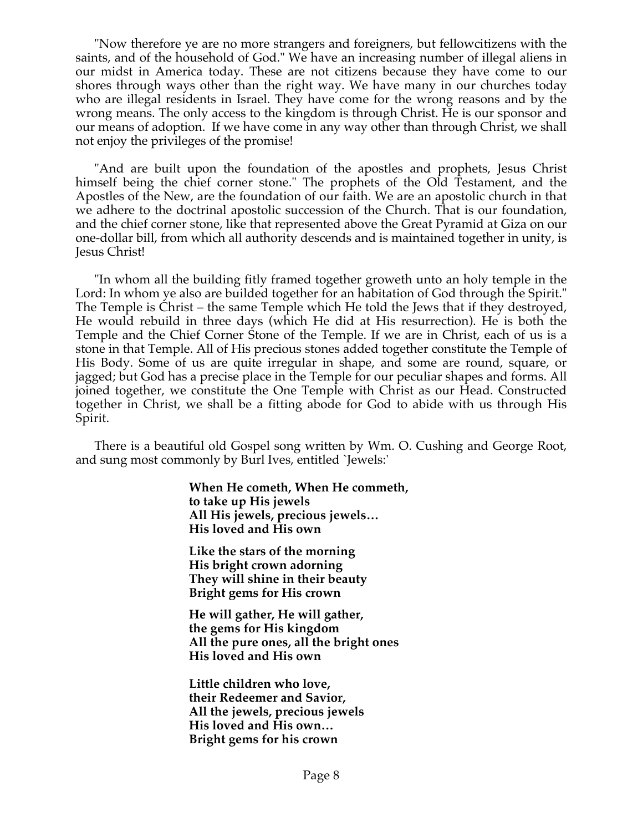"Now therefore ye are no more strangers and foreigners, but fellowcitizens with the saints, and of the household of God." We have an increasing number of illegal aliens in our midst in America today. These are not citizens because they have come to our shores through ways other than the right way. We have many in our churches today who are illegal residents in Israel. They have come for the wrong reasons and by the wrong means. The only access to the kingdom is through Christ. He is our sponsor and our means of adoption. If we have come in any way other than through Christ, we shall not enjoy the privileges of the promise!

 "And are built upon the foundation of the apostles and prophets, Jesus Christ himself being the chief corner stone." The prophets of the Old Testament, and the Apostles of the New, are the foundation of our faith. We are an apostolic church in that we adhere to the doctrinal apostolic succession of the Church. That is our foundation, and the chief corner stone, like that represented above the Great Pyramid at Giza on our one-dollar bill, from which all authority descends and is maintained together in unity, is Jesus Christ!

 "In whom all the building fitly framed together groweth unto an holy temple in the Lord: In whom ye also are builded together for an habitation of God through the Spirit." The Temple is Christ – the same Temple which He told the Jews that if they destroyed, He would rebuild in three days (which He did at His resurrection). He is both the Temple and the Chief Corner Stone of the Temple. If we are in Christ, each of us is a stone in that Temple. All of His precious stones added together constitute the Temple of His Body. Some of us are quite irregular in shape, and some are round, square, or jagged; but God has a precise place in the Temple for our peculiar shapes and forms. All joined together, we constitute the One Temple with Christ as our Head. Constructed together in Christ, we shall be a fitting abode for God to abide with us through His Spirit.

 There is a beautiful old Gospel song written by Wm. O. Cushing and George Root, and sung most commonly by Burl Ives, entitled `Jewels:'

> **When He cometh, When He commeth, to take up His jewels All His jewels, precious jewels… His loved and His own**

**Like the stars of the morning His bright crown adorning They will shine in their beauty Bright gems for His crown**

**He will gather, He will gather, the gems for His kingdom All the pure ones, all the bright ones His loved and His own**

**Little children who love, their Redeemer and Savior, All the jewels, precious jewels His loved and His own… Bright gems for his crown**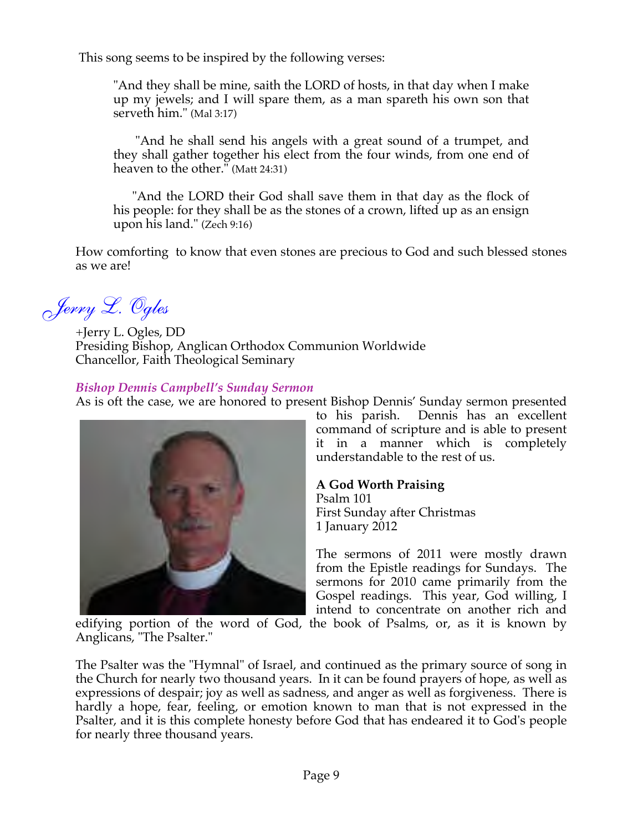This song seems to be inspired by the following verses:

"And they shall be mine, saith the LORD of hosts, in that day when I make up my jewels; and I will spare them, as a man spareth his own son that serveth him." (Mal 3:17)

 "And he shall send his angels with a great sound of a trumpet, and they shall gather together his elect from the four winds, from one end of heaven to the other." (Matt 24:31)

 "And the LORD their God shall save them in that day as the flock of his people: for they shall be as the stones of a crown, lifted up as an ensign upon his land." (Zech 9:16)

How comforting to know that even stones are precious to God and such blessed stones as we are!

*Jerry L. Ogles*

+Jerry L. Ogles, DD Presiding Bishop, Anglican Orthodox Communion Worldwide Chancellor, Faith Theological Seminary

## *Bishop Dennis Campbell's Sunday Sermon*

As is oft the case, we are honored to present Bishop Dennis' Sunday sermon presented



to his parish. Dennis has an excellent command of scripture and is able to present it in a manner which is completely understandable to the rest of us.

# **A God Worth Praising**

Psalm 101 First Sunday after Christmas 1 January 2012

The sermons of 2011 were mostly drawn from the Epistle readings for Sundays. The sermons for 2010 came primarily from the Gospel readings. This year, God willing, I intend to concentrate on another rich and

edifying portion of the word of God, the book of Psalms, or, as it is known by Anglicans, "The Psalter."

The Psalter was the "Hymnal" of Israel, and continued as the primary source of song in the Church for nearly two thousand years. In it can be found prayers of hope, as well as expressions of despair; joy as well as sadness, and anger as well as forgiveness. There is hardly a hope, fear, feeling, or emotion known to man that is not expressed in the Psalter, and it is this complete honesty before God that has endeared it to God's people for nearly three thousand years.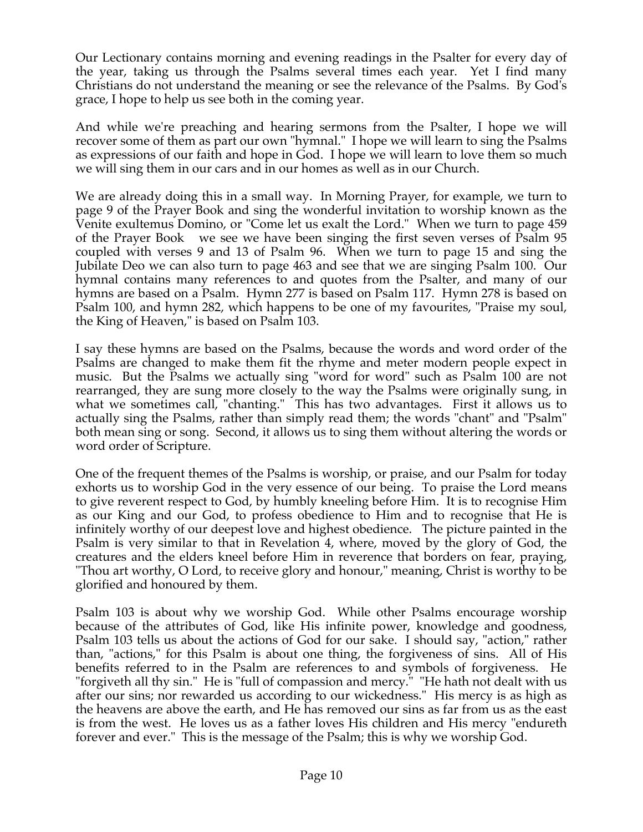Our Lectionary contains morning and evening readings in the Psalter for every day of the year, taking us through the Psalms several times each year. Yet I find many Christians do not understand the meaning or see the relevance of the Psalms. By God's grace, I hope to help us see both in the coming year.

And while we're preaching and hearing sermons from the Psalter, I hope we will recover some of them as part our own "hymnal." I hope we will learn to sing the Psalms as expressions of our faith and hope in God. I hope we will learn to love them so much we will sing them in our cars and in our homes as well as in our Church.

We are already doing this in a small way. In Morning Prayer, for example, we turn to page 9 of the Prayer Book and sing the wonderful invitation to worship known as the Venite exultemus Domino, or "Come let us exalt the Lord." When we turn to page 459 of the Prayer Book we see we have been singing the first seven verses of Psalm 95 coupled with verses 9 and 13 of Psalm 96. When we turn to page 15 and sing the Jubilate Deo we can also turn to page 463 and see that we are singing Psalm 100. Our hymnal contains many references to and quotes from the Psalter, and many of our hymns are based on a Psalm. Hymn 277 is based on Psalm 117. Hymn 278 is based on Psalm 100, and hymn 282, which happens to be one of my favourites, "Praise my soul, the King of Heaven," is based on Psalm 103.

I say these hymns are based on the Psalms, because the words and word order of the Psalms are changed to make them fit the rhyme and meter modern people expect in music. But the Psalms we actually sing "word for word" such as Psalm 100 are not rearranged, they are sung more closely to the way the Psalms were originally sung, in what we sometimes call, "chanting." This has two advantages. First it allows us to actually sing the Psalms, rather than simply read them; the words "chant" and "Psalm" both mean sing or song. Second, it allows us to sing them without altering the words or word order of Scripture.

One of the frequent themes of the Psalms is worship, or praise, and our Psalm for today exhorts us to worship God in the very essence of our being. To praise the Lord means to give reverent respect to God, by humbly kneeling before Him. It is to recognise Him as our King and our God, to profess obedience to Him and to recognise that He is infinitely worthy of our deepest love and highest obedience. The picture painted in the Psalm is very similar to that in Revelation 4, where, moved by the glory of God, the creatures and the elders kneel before Him in reverence that borders on fear, praying, "Thou art worthy, O Lord, to receive glory and honour," meaning, Christ is worthy to be glorified and honoured by them.

Psalm 103 is about why we worship God. While other Psalms encourage worship because of the attributes of God, like His infinite power, knowledge and goodness, Psalm 103 tells us about the actions of God for our sake. I should say, "action," rather than, "actions," for this Psalm is about one thing, the forgiveness of sins. All of His benefits referred to in the Psalm are references to and symbols of forgiveness. He "forgiveth all thy sin." He is "full of compassion and mercy." "He hath not dealt with us after our sins; nor rewarded us according to our wickedness." His mercy is as high as the heavens are above the earth, and He has removed our sins as far from us as the east is from the west. He loves us as a father loves His children and His mercy "endureth forever and ever." This is the message of the Psalm; this is why we worship God.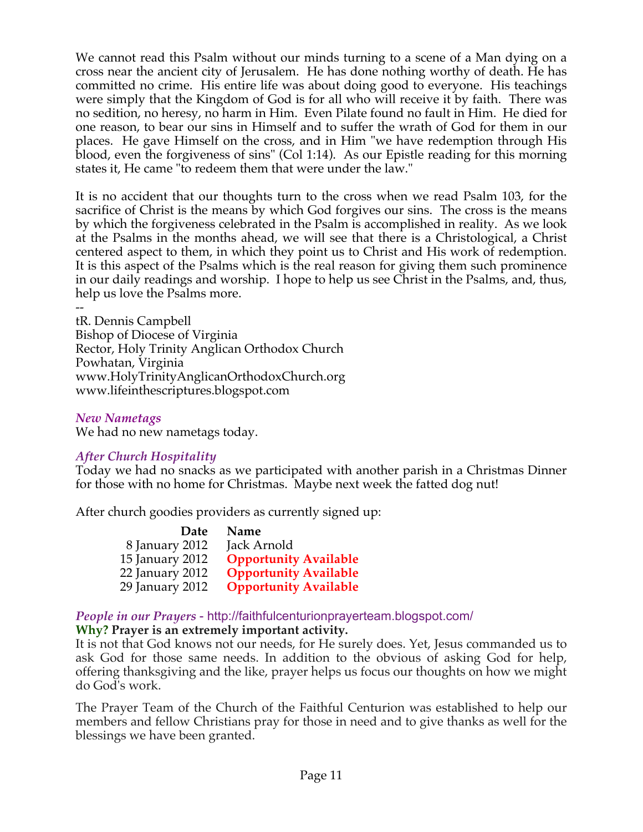We cannot read this Psalm without our minds turning to a scene of a Man dying on a cross near the ancient city of Jerusalem. He has done nothing worthy of death. He has committed no crime. His entire life was about doing good to everyone. His teachings were simply that the Kingdom of God is for all who will receive it by faith. There was no sedition, no heresy, no harm in Him. Even Pilate found no fault in Him. He died for one reason, to bear our sins in Himself and to suffer the wrath of God for them in our places. He gave Himself on the cross, and in Him "we have redemption through His blood, even the forgiveness of sins" (Col 1:14). As our Epistle reading for this morning states it, He came "to redeem them that were under the law."

It is no accident that our thoughts turn to the cross when we read Psalm 103, for the sacrifice of Christ is the means by which God forgives our sins. The cross is the means by which the forgiveness celebrated in the Psalm is accomplished in reality. As we look at the Psalms in the months ahead, we will see that there is a Christological, a Christ centered aspect to them, in which they point us to Christ and His work of redemption. It is this aspect of the Psalms which is the real reason for giving them such prominence in our daily readings and worship. I hope to help us see Christ in the Psalms, and, thus, help us love the Psalms more.

- tR. Dennis Campbell Bishop of Diocese of Virginia Rector, Holy Trinity Anglican Orthodox Church Powhatan, Virginia www.HolyTrinityAnglicanOrthodoxChurch.org www.lifeinthescriptures.blogspot.com

#### *New Nametags*

We had no new nametags today.

#### *After Church Hospitality*

Today we had no snacks as we participated with another parish in a Christmas Dinner for those with no home for Christmas. Maybe next week the fatted dog nut!

After church goodies providers as currently signed up:

| Name                         |
|------------------------------|
| Jack Arnold                  |
| <b>Opportunity Available</b> |
| <b>Opportunity Available</b> |
| <b>Opportunity Available</b> |
|                              |

## *People in our Prayers* - http://faithfulcenturionprayerteam.blogspot.com/

#### **Why? Prayer is an extremely important activity.**

It is not that God knows not our needs, for He surely does. Yet, Jesus commanded us to ask God for those same needs. In addition to the obvious of asking God for help, offering thanksgiving and the like, prayer helps us focus our thoughts on how we might do God's work.

The Prayer Team of the Church of the Faithful Centurion was established to help our members and fellow Christians pray for those in need and to give thanks as well for the blessings we have been granted.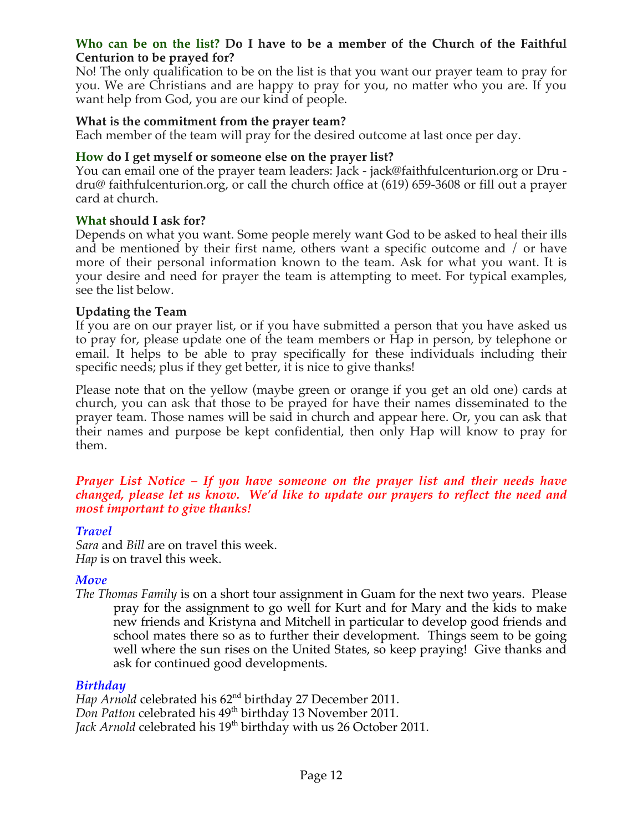#### **Who can be on the list? Do I have to be a member of the Church of the Faithful Centurion to be prayed for?**

No! The only qualification to be on the list is that you want our prayer team to pray for you. We are Christians and are happy to pray for you, no matter who you are. If you want help from God, you are our kind of people.

#### **What is the commitment from the prayer team?**

Each member of the team will pray for the desired outcome at last once per day.

#### **How do I get myself or someone else on the prayer list?**

You can email one of the prayer team leaders: Jack - jack@faithfulcenturion.org or Dru dru@ faithfulcenturion.org, or call the church office at (619) 659-3608 or fill out a prayer card at church.

#### **What should I ask for?**

Depends on what you want. Some people merely want God to be asked to heal their ills and be mentioned by their first name, others want a specific outcome and / or have more of their personal information known to the team. Ask for what you want. It is your desire and need for prayer the team is attempting to meet. For typical examples, see the list below.

#### **Updating the Team**

If you are on our prayer list, or if you have submitted a person that you have asked us to pray for, please update one of the team members or Hap in person, by telephone or email. It helps to be able to pray specifically for these individuals including their specific needs; plus if they get better, it is nice to give thanks!

Please note that on the yellow (maybe green or orange if you get an old one) cards at church, you can ask that those to be prayed for have their names disseminated to the prayer team. Those names will be said in church and appear here. Or, you can ask that their names and purpose be kept confidential, then only Hap will know to pray for them.

#### *Prayer List Notice – If you have someone on the prayer list and their needs have changed, please let us know. We'd like to update our prayers to reflect the need and most important to give thanks!*

#### *Travel*

*Sara* and *Bill* are on travel this week. *Hap* is on travel this week.

#### *Move*

*The Thomas Family* is on a short tour assignment in Guam for the next two years. Please pray for the assignment to go well for Kurt and for Mary and the kids to make new friends and Kristyna and Mitchell in particular to develop good friends and school mates there so as to further their development. Things seem to be going well where the sun rises on the United States, so keep praying! Give thanks and ask for continued good developments.

#### *Birthday*

*Hap Arnold* celebrated his 62<sup>nd</sup> birthday 27 December 2011. *Don Patton* celebrated his 49<sup>th</sup> birthday 13 November 2011. Jack Arnold celebrated his 19<sup>th</sup> birthday with us 26 October 2011.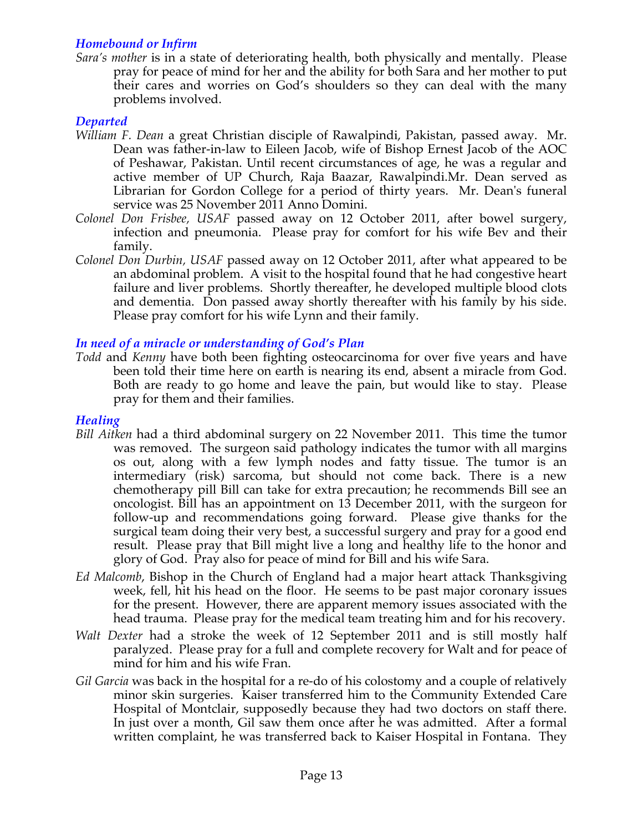## *Homebound or Infirm*

*Sara's mother* is in a state of deteriorating health, both physically and mentally. Please pray for peace of mind for her and the ability for both Sara and her mother to put their cares and worries on God's shoulders so they can deal with the many problems involved.

## *Departed*

- *William F. Dean* a great Christian disciple of Rawalpindi, Pakistan, passed away. Mr. Dean was father-in-law to Eileen Jacob, wife of Bishop Ernest Jacob of the AOC of Peshawar, Pakistan. Until recent circumstances of age, he was a regular and active member of UP Church, Raja Baazar, Rawalpindi.Mr. Dean served as Librarian for Gordon College for a period of thirty years. Mr. Dean's funeral service was 25 November 2011 Anno Domini.
- *Colonel Don Frisbee, USAF* passed away on 12 October 2011, after bowel surgery, infection and pneumonia. Please pray for comfort for his wife Bev and their family.
- *Colonel Don Durbin, USAF* passed away on 12 October 2011, after what appeared to be an abdominal problem. A visit to the hospital found that he had congestive heart failure and liver problems. Shortly thereafter, he developed multiple blood clots and dementia. Don passed away shortly thereafter with his family by his side. Please pray comfort for his wife Lynn and their family.

## *In need of a miracle or understanding of God's Plan*

*Todd* and *Kenny* have both been fighting osteocarcinoma for over five years and have been told their time here on earth is nearing its end, absent a miracle from God. Both are ready to go home and leave the pain, but would like to stay. Please pray for them and their families.

#### *Healing*

- *Bill Aitken* had a third abdominal surgery on 22 November 2011. This time the tumor was removed. The surgeon said pathology indicates the tumor with all margins os out, along with a few lymph nodes and fatty tissue. The tumor is an intermediary (risk) sarcoma, but should not come back. There is a new chemotherapy pill Bill can take for extra precaution; he recommends Bill see an oncologist. Bill has an appointment on 13 December 2011, with the surgeon for follow-up and recommendations going forward. Please give thanks for the surgical team doing their very best, a successful surgery and pray for a good end result. Please pray that Bill might live a long and healthy life to the honor and glory of God. Pray also for peace of mind for Bill and his wife Sara.
- *Ed Malcomb*, Bishop in the Church of England had a major heart attack Thanksgiving week, fell, hit his head on the floor. He seems to be past major coronary issues for the present. However, there are apparent memory issues associated with the head trauma. Please pray for the medical team treating him and for his recovery.
- *Walt Dexter* had a stroke the week of 12 September 2011 and is still mostly half paralyzed. Please pray for a full and complete recovery for Walt and for peace of mind for him and his wife Fran.
- *Gil Garcia* was back in the hospital for a re-do of his colostomy and a couple of relatively minor skin surgeries. Kaiser transferred him to the Community Extended Care Hospital of Montclair, supposedly because they had two doctors on staff there. In just over a month, Gil saw them once after he was admitted. After a formal written complaint, he was transferred back to Kaiser Hospital in Fontana. They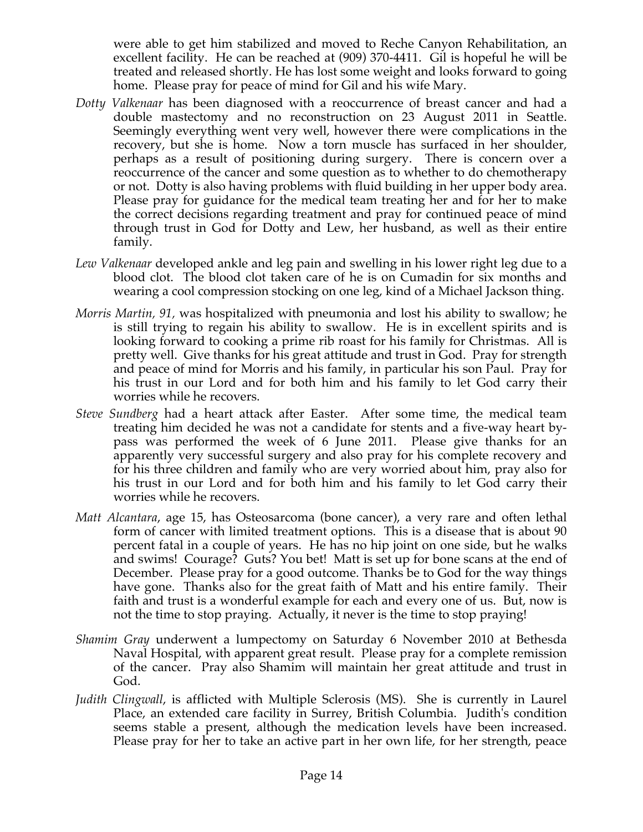were able to get him stabilized and moved to Reche Canyon Rehabilitation, an excellent facility. He can be reached at (909) 370-4411. Gil is hopeful he will be treated and released shortly. He has lost some weight and looks forward to going home. Please pray for peace of mind for Gil and his wife Mary.

- *Dotty Valkenaar* has been diagnosed with a reoccurrence of breast cancer and had a double mastectomy and no reconstruction on 23 August 2011 in Seattle. Seemingly everything went very well, however there were complications in the recovery, but she is home. Now a torn muscle has surfaced in her shoulder, perhaps as a result of positioning during surgery. There is concern over a reoccurrence of the cancer and some question as to whether to do chemotherapy or not. Dotty is also having problems with fluid building in her upper body area. Please pray for guidance for the medical team treating her and for her to make the correct decisions regarding treatment and pray for continued peace of mind through trust in God for Dotty and Lew, her husband, as well as their entire family.
- *Lew Valkenaar* developed ankle and leg pain and swelling in his lower right leg due to a blood clot. The blood clot taken care of he is on Cumadin for six months and wearing a cool compression stocking on one leg, kind of a Michael Jackson thing.
- *Morris Martin, 91,* was hospitalized with pneumonia and lost his ability to swallow; he is still trying to regain his ability to swallow. He is in excellent spirits and is looking forward to cooking a prime rib roast for his family for Christmas. All is pretty well. Give thanks for his great attitude and trust in God. Pray for strength and peace of mind for Morris and his family, in particular his son Paul. Pray for his trust in our Lord and for both him and his family to let God carry their worries while he recovers.
- *Steve Sundberg* had a heart attack after Easter. After some time, the medical team treating him decided he was not a candidate for stents and a five-way heart bypass was performed the week of 6 June 2011. Please give thanks for an apparently very successful surgery and also pray for his complete recovery and for his three children and family who are very worried about him, pray also for his trust in our Lord and for both him and his family to let God carry their worries while he recovers.
- *Matt Alcantara*, age 15, has Osteosarcoma (bone cancer), a very rare and often lethal form of cancer with limited treatment options. This is a disease that is about 90 percent fatal in a couple of years. He has no hip joint on one side, but he walks and swims! Courage? Guts? You bet! Matt is set up for bone scans at the end of December. Please pray for a good outcome. Thanks be to God for the way things have gone. Thanks also for the great faith of Matt and his entire family. Their faith and trust is a wonderful example for each and every one of us. But, now is not the time to stop praying. Actually, it never is the time to stop praying!
- *Shamim Gray* underwent a lumpectomy on Saturday 6 November 2010 at Bethesda Naval Hospital, with apparent great result. Please pray for a complete remission of the cancer. Pray also Shamim will maintain her great attitude and trust in God.
- *Judith Clingwall*, is afflicted with Multiple Sclerosis (MS). She is currently in Laurel Place, an extended care facility in Surrey, British Columbia. Judith's condition seems stable a present, although the medication levels have been increased. Please pray for her to take an active part in her own life, for her strength, peace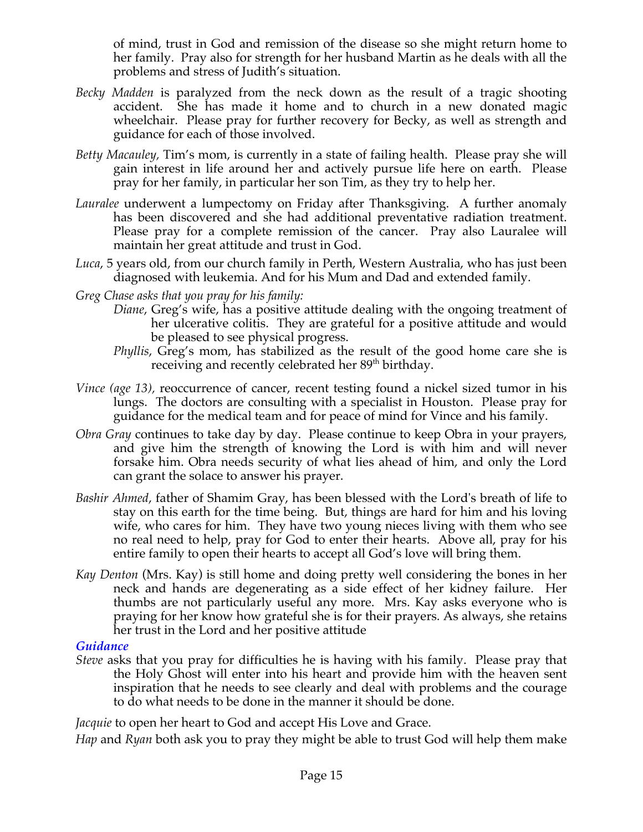of mind, trust in God and remission of the disease so she might return home to her family. Pray also for strength for her husband Martin as he deals with all the problems and stress of Judith's situation.

- *Becky Madden* is paralyzed from the neck down as the result of a tragic shooting accident. She has made it home and to church in a new donated magic wheelchair. Please pray for further recovery for Becky, as well as strength and guidance for each of those involved.
- *Betty Macauley,* Tim's mom, is currently in a state of failing health. Please pray she will gain interest in life around her and actively pursue life here on earth. Please pray for her family, in particular her son Tim, as they try to help her.
- *Lauralee* underwent a lumpectomy on Friday after Thanksgiving. A further anomaly has been discovered and she had additional preventative radiation treatment. Please pray for a complete remission of the cancer. Pray also Lauralee will maintain her great attitude and trust in God.
- *Luca*, 5 years old, from our church family in Perth, Western Australia, who has just been diagnosed with leukemia. And for his Mum and Dad and extended family.

*Greg Chase asks that you pray for his family:*

- *Diane*, Greg's wife, has a positive attitude dealing with the ongoing treatment of her ulcerative colitis. They are grateful for a positive attitude and would be pleased to see physical progress.
- *Phyllis*, Greg's mom, has stabilized as the result of the good home care she is receiving and recently celebrated her 89<sup>th</sup> birthday.
- *Vince (age 13), reoccurrence of cancer, recent testing found a nickel sized tumor in his* lungs. The doctors are consulting with a specialist in Houston. Please pray for guidance for the medical team and for peace of mind for Vince and his family.
- *Obra Gray* continues to take day by day. Please continue to keep Obra in your prayers, and give him the strength of knowing the Lord is with him and will never forsake him. Obra needs security of what lies ahead of him, and only the Lord can grant the solace to answer his prayer.
- *Bashir Ahmed*, father of Shamim Gray, has been blessed with the Lord's breath of life to stay on this earth for the time being. But, things are hard for him and his loving wife, who cares for him. They have two young nieces living with them who see no real need to help, pray for God to enter their hearts. Above all, pray for his entire family to open their hearts to accept all God's love will bring them.
- *Kay Denton* (Mrs. Kay) is still home and doing pretty well considering the bones in her neck and hands are degenerating as a side effect of her kidney failure. Her thumbs are not particularly useful any more. Mrs. Kay asks everyone who is praying for her know how grateful she is for their prayers. As always, she retains her trust in the Lord and her positive attitude.

## *Guidance*

*Steve* asks that you pray for difficulties he is having with his family. Please pray that the Holy Ghost will enter into his heart and provide him with the heaven sent inspiration that he needs to see clearly and deal with problems and the courage to do what needs to be done in the manner it should be done.

*Jacquie* to open her heart to God and accept His Love and Grace.

*Hap* and *Ryan* both ask you to pray they might be able to trust God will help them make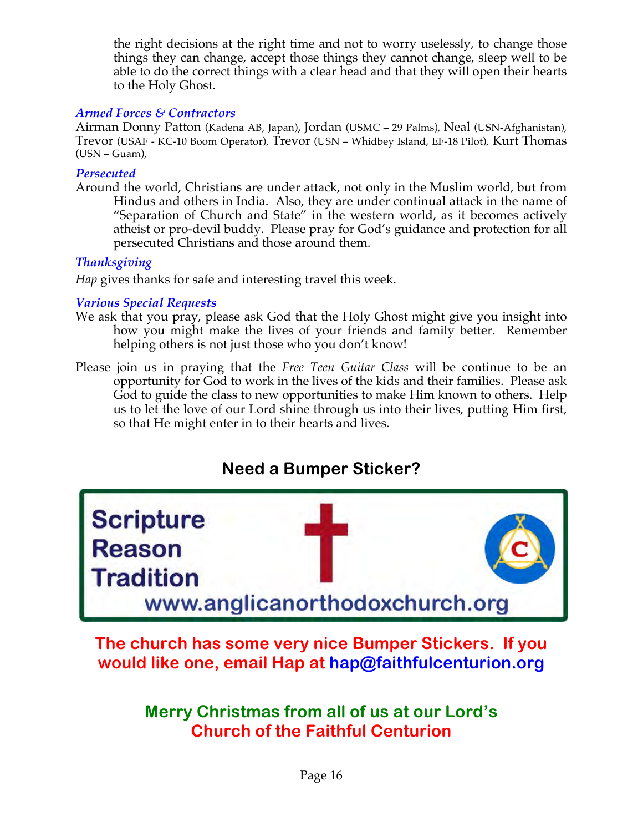the right decisions at the right time and not to worry uselessly, to change those things they can change, accept those things they cannot change, sleep well to be able to do the correct things with a clear head and that they will open their hearts to the Holy Ghost.

## *Armed Forces & Contractors*

Airman Donny Patton (Kadena AB, Japan), Jordan (USMC – 29 Palms), Neal (USN-Afghanistan), Trevor (USAF - KC-10 Boom Operator), Trevor (USN – Whidbey Island, EF-18 Pilot), Kurt Thomas (USN – Guam),

#### *Persecuted*

Around the world, Christians are under attack, not only in the Muslim world, but from Hindus and others in India. Also, they are under continual attack in the name of "Separation of Church and State" in the western world, as it becomes actively atheist or pro-devil buddy. Please pray for God's guidance and protection for all persecuted Christians and those around them.

## *Thanksgiving*

*Hap* gives thanks for safe and interesting travel this week.

## *Various Special Requests*

- We ask that you pray, please ask God that the Holy Ghost might give you insight into how you might make the lives of your friends and family better. Remember helping others is not just those who you don't know!
- Please join us in praying that the *Free Teen Guitar Class* will be continue to be an opportunity for God to work in the lives of the kids and their families. Please ask God to guide the class to new opportunities to make Him known to others. Help us to let the love of our Lord shine through us into their lives, putting Him first, so that He might enter in to their hearts and lives.

# **Need a Bumper Sticker?**



**The church has some very nice Bumper Stickers. If you would like one, email Hap at hap@faithfulcenturion.org**

> **Merry Christmas from all of us at our Lord's Church of the Faithful Centurion**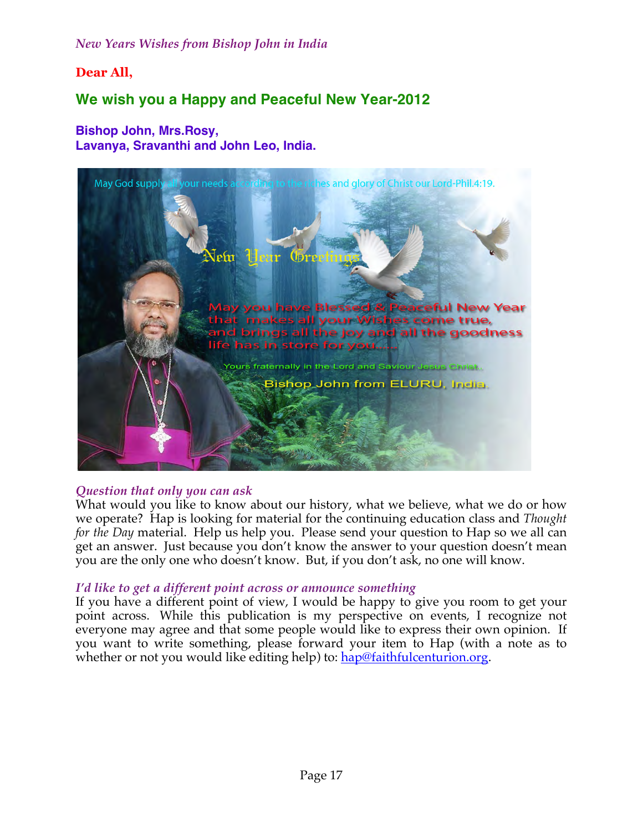*New Years Wishes from Bishop John in India*

## **Dear All,**

## **We wish you a Happy and Peaceful New Year-2012**

#### **Bishop John, Mrs.Rosy, Lavanya, Sravanthi and John Leo, India.**



#### *Question that only you can ask*

What would you like to know about our history, what we believe, what we do or how we operate? Hap is looking for material for the continuing education class and *Thought for the Day* material. Help us help you. Please send your question to Hap so we all can get an answer. Just because you don't know the answer to your question doesn't mean you are the only one who doesn't know. But, if you don't ask, no one will know.

#### *I'd like to get a different point across or announce something*

If you have a different point of view, I would be happy to give you room to get your point across. While this publication is my perspective on events, I recognize not everyone may agree and that some people would like to express their own opinion. If you want to write something, please forward your item to Hap (with a note as to whether or not you would like editing help) to: hap@faithfulcenturion.org.